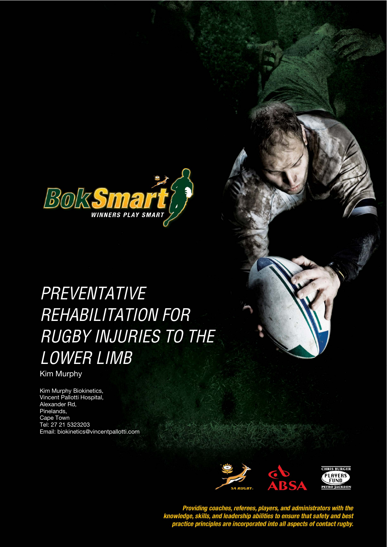

# **PREVENTATIVE STYLE HEADING FOR TABLES**  REHABILITATION FOR RUGBY INJURIES TO THE LOWER LIMB

Kim Murphy

Kim Murphy Biokinetics, Vincent Pallotti Hospital, Alexander Rd, Pinelands, Cape Town Tel: 27 21 5323203 Email: biokinetics@vincentpallotti.com



Providing coaches, referees, players, and administrators with the<br>knowledge, skills, and leadership abilities to ensure that safety and best<br>practice principles are incorporated into all aspects of contact rugby.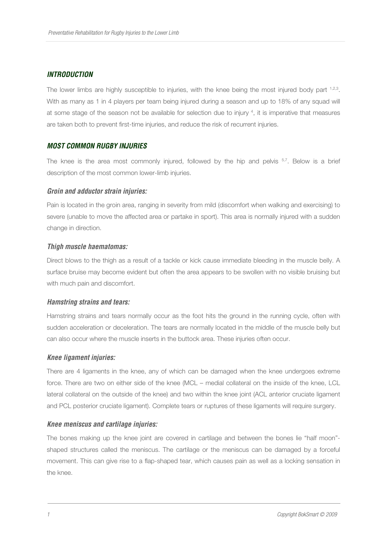## **INTRODUCTION**

The lower limbs are highly susceptible to injuries, with the knee being the most injured body part 1.2.3. With as many as 1 in 4 players per team being injured during a season and up to 18% of any squad will at some stage of the season not be available for selection due to injury <sup>4</sup>, it is imperative that measures are taken both to prevent first-time injuries, and reduce the risk of recurrent injuries.

## **MOST COMMON RUGBY INJURIES**

The knee is the area most commonly injured, followed by the hip and pelvis 5.7. Below is a brief description of the most common lower-limb injuries.

#### **Groin and adductor strain injuries:**

Pain is located in the groin area, ranging in severity from mild (discomfort when walking and exercising) to severe (unable to move the affected area or partake in sport). This area is normally injured with a sudden change in direction.

#### **Thigh muscle haematomas:**

Direct blows to the thigh as a result of a tackle or kick cause immediate bleeding in the muscle belly. A surface bruise may become evident but often the area appears to be swollen with no visible bruising but with much pain and discomfort.

#### **Hamstring strains and tears:**

Hamstring strains and tears normally occur as the foot hits the ground in the running cycle, often with sudden acceleration or deceleration. The tears are normally located in the middle of the muscle belly but can also occur where the muscle inserts in the buttock area. These injuries often occur.

#### **Knee ligament injuries:**

There are 4 ligaments in the knee, any of which can be damaged when the knee undergoes extreme force. There are two on either side of the knee (MCL – medial collateral on the inside of the knee, LCL lateral collateral on the outside of the knee) and two within the knee joint (ACL anterior cruciate ligament and PCL posterior cruciate ligament). Complete tears or ruptures of these ligaments will require surgery.

#### **Knee meniscus and cartilage injuries:**

The bones making up the knee joint are covered in cartilage and between the bones lie "half moon" shaped structures called the meniscus. The cartilage or the meniscus can be damaged by a forceful movement. This can give rise to a flap-shaped tear, which causes pain as well as a locking sensation in the knee.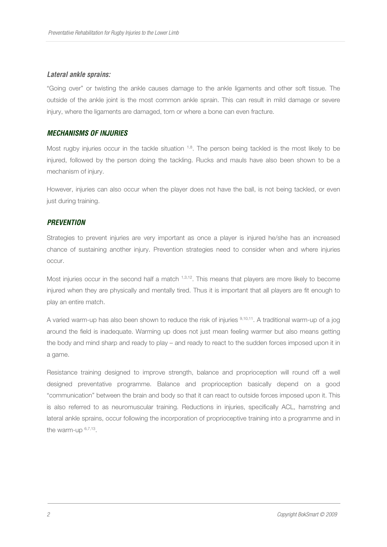#### **Lateral ankle sprains:**

"Going over" or twisting the ankle causes damage to the ankle ligaments and other soft tissue. The outside of the ankle joint is the most common ankle sprain. This can result in mild damage or severe injury, where the ligaments are damaged, torn or where a bone can even fracture.

#### **MECHANISMS OF INJURIES**

Most rugby injuries occur in the tackle situation <sup>1,8</sup>. The person being tackled is the most likely to be injured, followed by the person doing the tackling. Rucks and mauls have also been shown to be a mechanism of injury.

However, injuries can also occur when the player does not have the ball, is not being tackled, or even just during training.

#### **PREVENTION**

Strategies to prevent injuries are very important as once a player is injured he/she has an increased chance of sustaining another injury. Prevention strategies need to consider when and where injuries occur.

Most injuries occur in the second half a match <sup>1,3,12</sup>. This means that players are more likely to become injured when they are physically and mentally tired. Thus it is important that all players are fit enough to play an entire match.

A varied warm-up has also been shown to reduce the risk of injuries <sup>9,10,11</sup>. A traditional warm-up of a jog around the field is inadequate. Warming up does not just mean feeling warmer but also means getting the body and mind sharp and ready to play – and ready to react to the sudden forces imposed upon it in a game.

Resistance training designed to improve strength, balance and proprioception will round off a well designed preventative programme. Balance and proprioception basically depend on a good "communication" between the brain and body so that it can react to outside forces imposed upon it. This is also referred to as neuromuscular training. Reductions in injuries, specifically ACL, hamstring and lateral ankle sprains, occur following the incorporation of proprioceptive training into a programme and in the warm-up 6,7,13.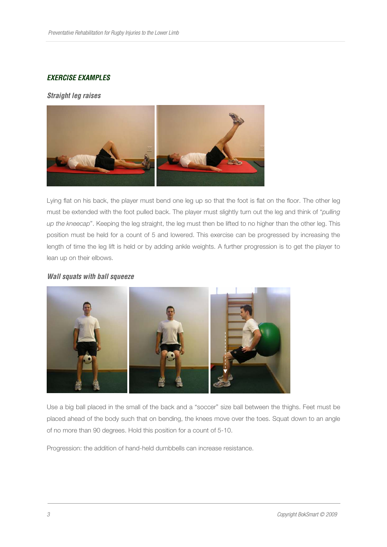# **EXERCISE EXAMPLES**

## **Straight leg raises**



Lying flat on his back, the player must bend one leg up so that the foot is flat on the floor. The other leg must be extended with the foot pulled back. The player must slightly turn out the leg and think of "pulling up the kneecap". Keeping the leg straight, the leg must then be lifted to no higher than the other leg. This position must be held for a count of 5 and lowered. This exercise can be progressed by increasing the length of time the leg lift is held or by adding ankle weights. A further progression is to get the player to lean up on their elbows.

## **Wall squats with ball squeeze**



Use a big ball placed in the small of the back and a "soccer" size ball between the thighs. Feet must be placed ahead of the body such that on bending, the knees move over the toes. Squat down to an angle of no more than 90 degrees. Hold this position for a count of 5-10.

Progression: the addition of hand-held dumbbells can increase resistance.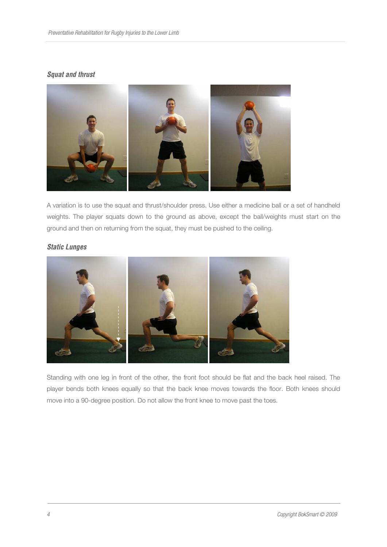## **Squat and thrust**



A variation is to use the squat and thrust/shoulder press. Use either a medicine ball or a set of handheld weights. The player squats down to the ground as above, except the ball/weights must start on the ground and then on returning from the squat, they must be pushed to the ceiling.

## **Static Lunges**



Standing with one leg in front of the other, the front foot should be flat and the back heel raised. The player bends both knees equally so that the back knee moves towards the floor. Both knees should move into a 90-degree position. Do not allow the front knee to move past the toes.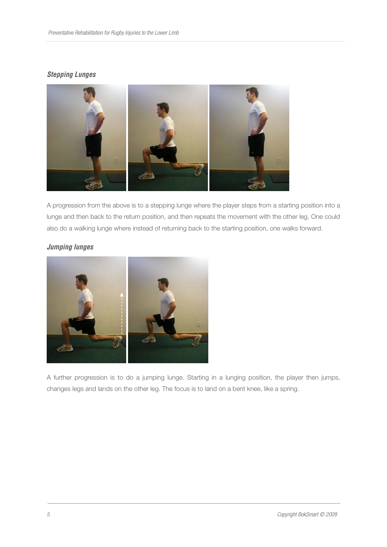## **Stepping Lunges**



A progression from the above is to a stepping lunge where the player steps from a starting position into a lunge and then back to the return position, and then repeats the movement with the other leg. One could also do a walking lunge where instead of returning back to the starting position, one walks forward.

## **Jumping lunges**



A further progression is to do a jumping lunge. Starting in a lunging position, the player then jumps, changes legs and lands on the other leg. The focus is to land on a bent knee, like a spring.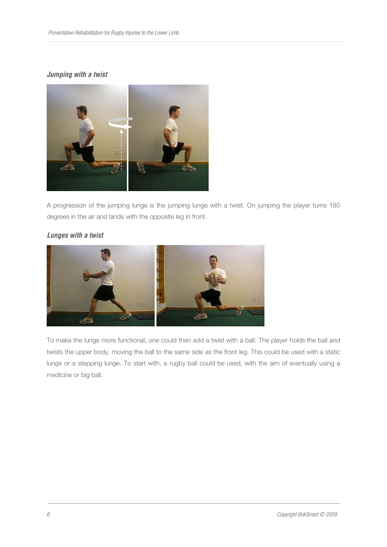## **Jumping with a twist**



A progression of the jumping lunge is the jumping lunge with a twist. On jumping the player turns 180 degrees in the air and lands with the opposite leg in front.

## **Lunges with a twist**



To make the lunge more functional, one could then add a twist with a ball. The player holds the ball and twists the upper body, moving the ball to the same side as the front leg. This could be used with a static lunge or a stepping lunge. To start with, a rugby ball could be used, with the aim of eventually using a medicine or big ball.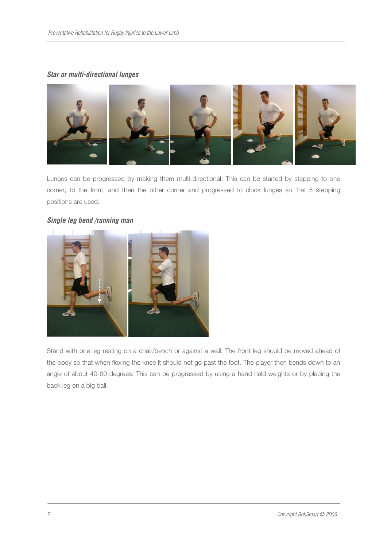## **Star or multi-directional lunges**



Lunges can be progressed by making them multi-directional. This can be started by stepping to one corner, to the front, and then the other corner and progressed to clock lunges so that 5 stepping positions are used.

## **Single leg bend /running man**



Stand with one leg resting on a chair/bench or against a wall. The front leg should be moved ahead of the body so that when flexing the knee it should not go past the foot. The player then bends down to an angle of about 40-60 degrees. This can be progressed by using a hand held weights or by placing the back leg on a big ball.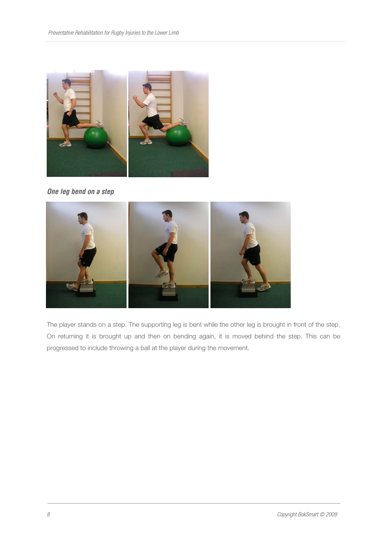

**One leg bend on a step** 



The player stands on a step. The supporting leg is bent while the other leg is brought in front of the step. On returning it is brought up and then on bending again, it is moved behind the step. This can be progressed to include throwing a ball at the player during the movement.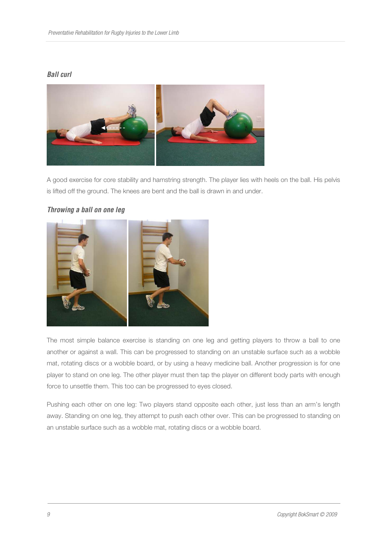## **Ball curl**



A good exercise for core stability and hamstring strength. The player lies with heels on the ball. His pelvis is lifted off the ground. The knees are bent and the ball is drawn in and under.

## **Throwing a ball on one leg**



The most simple balance exercise is standing on one leg and getting players to throw a ball to one another or against a wall. This can be progressed to standing on an unstable surface such as a wobble mat, rotating discs or a wobble board, or by using a heavy medicine ball. Another progression is for one player to stand on one leg. The other player must then tap the player on different body parts with enough force to unsettle them. This too can be progressed to eyes closed.

Pushing each other on one leg: Two players stand opposite each other, just less than an arm's length away. Standing on one leg, they attempt to push each other over. This can be progressed to standing on an unstable surface such as a wobble mat, rotating discs or a wobble board.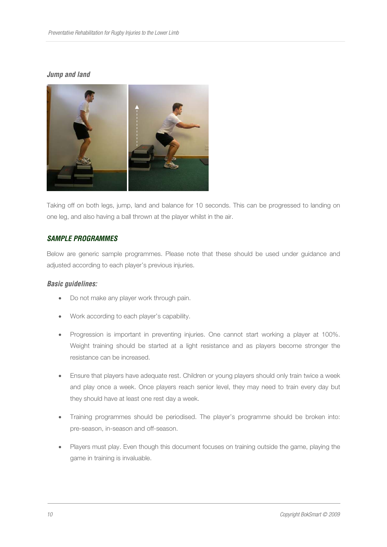## **Jump and land**



Taking off on both legs, jump, land and balance for 10 seconds. This can be progressed to landing on one leg, and also having a ball thrown at the player whilst in the air.

## **SAMPLE PROGRAMMES**

Below are generic sample programmes. Please note that these should be used under guidance and adjusted according to each player's previous injuries.

#### **Basic guidelines:**

- Do not make any player work through pain.
- Work according to each player's capability.
- Progression is important in preventing injuries. One cannot start working a player at 100%. Weight training should be started at a light resistance and as players become stronger the resistance can be increased.
- Ensure that players have adequate rest. Children or young players should only train twice a week and play once a week. Once players reach senior level, they may need to train every day but they should have at least one rest day a week.
- Training programmes should be periodised. The player's programme should be broken into: pre-season, in-season and off-season.
- Players must play. Even though this document focuses on training outside the game, playing the game in training is invaluable.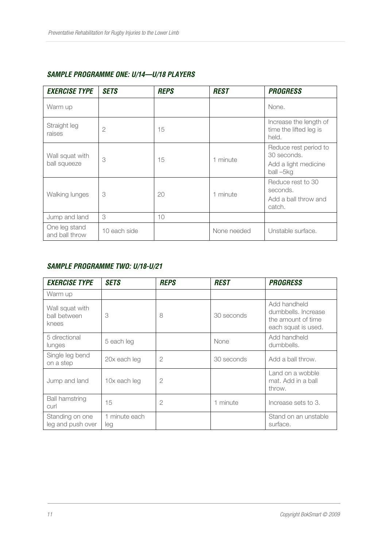| <b>EXERCISE TYPE</b>            | <b>SETS</b>  | <b>REPS</b> | <b>REST</b> | <b>PROGRESS</b>                                                          |
|---------------------------------|--------------|-------------|-------------|--------------------------------------------------------------------------|
| Warm up                         |              |             |             | None.                                                                    |
| Straight leg<br>raises          | $\mathbf{2}$ | 15          |             | Increase the length of<br>time the lifted leg is<br>held.                |
| Wall squat with<br>ball squeeze | 3            | 15          | 1 minute    | Reduce rest period to<br>30 seconds.<br>Add a light medicine<br>ball-5kg |
| Walking lunges                  | 3            | 20          | 1 minute    | Reduce rest to 30<br>seconds.<br>Add a ball throw and<br>catch.          |
| Jump and land                   | 3            | 10          |             |                                                                          |
| One leg stand<br>and ball throw | 10 each side |             | None needed | Unstable surface.                                                        |

# **SAMPLE PROGRAMME ONE: U/14—U/18 PLAYERS**

# **SAMPLE PROGRAMME TWO: U/18-U/21**

| <b>EXERCISE TYPE</b>                     | <b>SETS</b>          | <b>REPS</b>  | <b>REST</b> | <b>PROGRESS</b>                                                                  |
|------------------------------------------|----------------------|--------------|-------------|----------------------------------------------------------------------------------|
| Warm up                                  |                      |              |             |                                                                                  |
| Wall squat with<br>ball between<br>knees | 3                    | 8            | 30 seconds  | Add handheld<br>dumbbells, Increase<br>the amount of time<br>each squat is used. |
| 5 directional<br>lunges                  | 5 each leg           |              | None        | Add handheld<br>dumbbells.                                                       |
| Single leg bend<br>on a step             | 20x each leg         | 2            | 30 seconds  | Add a ball throw.                                                                |
| Jump and land                            | 10x each leg         | 2            |             | Land on a wobble<br>mat. Add in a ball<br>throw.                                 |
| <b>Ball hamstring</b><br>curl            | 15                   | $\mathbf{2}$ | 1 minute    | Increase sets to 3.                                                              |
| Standing on one<br>leg and push over     | 1 minute each<br>leg |              |             | Stand on an unstable<br>surface.                                                 |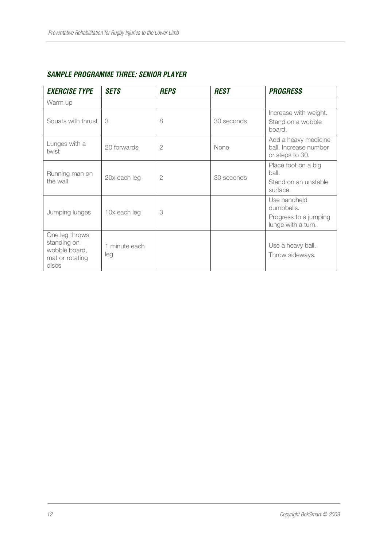| <b>EXERCISE TYPE</b>                                                       | <b>SETS</b>          | <b>REPS</b>    | <b>REST</b> | <b>PROGRESS</b>                                                           |
|----------------------------------------------------------------------------|----------------------|----------------|-------------|---------------------------------------------------------------------------|
| Warm up                                                                    |                      |                |             |                                                                           |
| Squats with thrust                                                         | 3                    | 8              | 30 seconds  | Increase with weight.<br>Stand on a wobble<br>board.                      |
| Lunges with a<br>twist                                                     | 20 forwards          | $\mathbf{2}$   | None        | Add a heavy medicine<br>ball. Increase number<br>or steps to 30.          |
| Running man on<br>the wall                                                 | 20x each leg         | $\overline{2}$ | 30 seconds  | Place foot on a big<br>ball.<br>Stand on an unstable<br>surface.          |
| Jumping lunges                                                             | 10x each leg         | 3              |             | Use handheld<br>dumbbells.<br>Progress to a jumping<br>lunge with a turn. |
| One leg throws<br>standing on<br>wobble board,<br>mat or rotating<br>discs | 1 minute each<br>leg |                |             | Use a heavy ball.<br>Throw sideways.                                      |

# **SAMPLE PROGRAMME THREE: SENIOR PLAYER**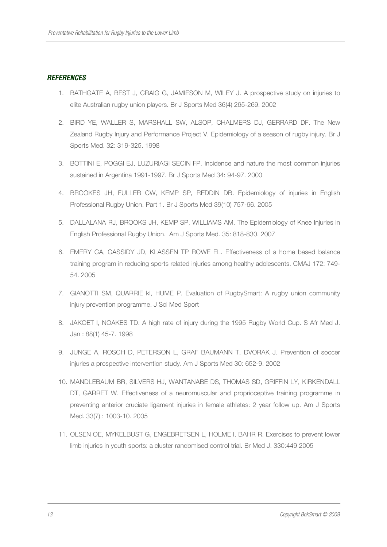## **REFERENCES**

- 1. BATHGATE A, BEST J, CRAIG G, JAMIESON M, WILEY J. A prospective study on injuries to elite Australian rugby union players. Br J Sports Med 36(4) 265-269. 2002
- 2. BIRD YE, WALLER S, MARSHALL SW, ALSOP, CHALMERS DJ, GERRARD DF. The New Zealand Rugby Injury and Performance Project V. Epidemiology of a season of rugby injury. Br J Sports Med. 32: 319-325. 1998
- 3. BOTTINI E, POGGI EJ, LUZURIAGI SECIN FP. Incidence and nature the most common injuries sustained in Argentina 1991-1997. Br J Sports Med 34: 94-97. 2000
- 4. BROOKES JH, FULLER CW, KEMP SP, REDDIN DB. Epidemiology of injuries in English Professional Rugby Union. Part 1. Br J Sports Med 39(10) 757-66. 2005
- 5. DALLALANA RJ, BROOKS JH, KEMP SP, WILLIAMS AM. The Epidemiology of Knee Injuries in English Professional Rugby Union. Am J Sports Med. 35: 818-830. 2007
- 6. EMERY CA, CASSIDY JD, KLASSEN TP ROWE EL. Effectiveness of a home based balance training program in reducing sports related injuries among healthy adolescents. CMAJ 172: 749- 54. 2005
- 7. GIANOTTI SM, QUARRIE kl, HUME P. Evaluation of RugbySmart: A rugby union community injury prevention programme. J Sci Med Sport
- 8. JAKOET I, NOAKES TD. A high rate of injury during the 1995 Rugby World Cup. S Afr Med J. Jan : 88(1) 45-7. 1998
- 9. JUNGE A, ROSCH D, PETERSON L, GRAF BAUMANN T, DVORAK J. Prevention of soccer injuries a prospective intervention study. Am J Sports Med 30: 652-9. 2002
- 10. MANDLEBAUM BR, SILVERS HJ, WANTANABE DS, THOMAS SD, GRIFFIN LY, KIRKENDALL DT, GARRET W. Effectiveness of a neuromuscular and proprioceptive training programme in preventing anterior cruciate ligament injuries in female athletes: 2 year follow up. Am J Sports Med. 33(7) : 1003-10. 2005
- 11. OLSEN OE, MYKELBUST G, ENGEBRETSEN L, HOLME I, BAHR R. Exercises to prevent lower limb injuries in youth sports: a cluster randomised control trial. Br Med J. 330:449 2005